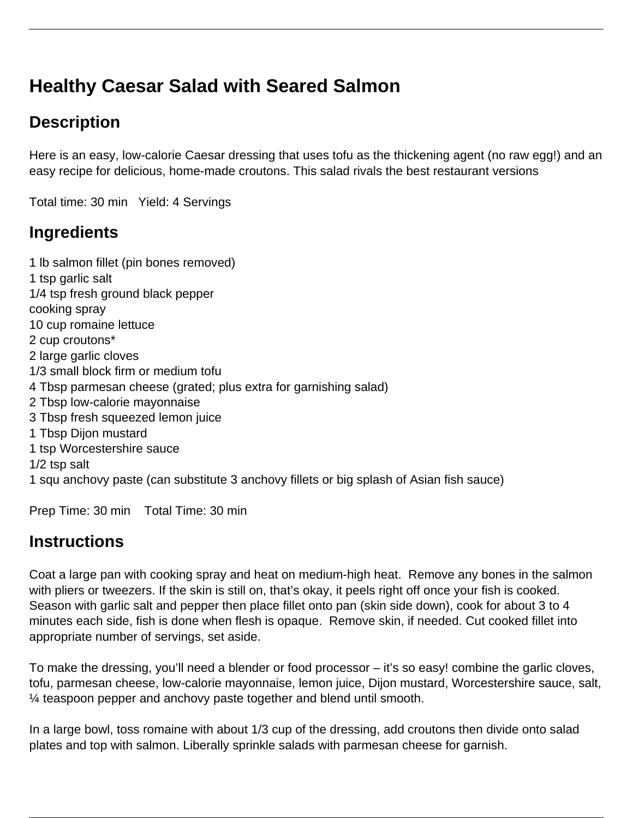# **Healthy Caesar Salad with Seared Salmon**

# **Description**

Here is an easy, low-calorie Caesar dressing that uses tofu as the thickening agent (no raw egg!) and an easy recipe for delicious, home-made croutons. This salad rivals the best restaurant versions

Total time: 30 min Yield: 4 Servings

## **Ingredients**

1 lb salmon fillet (pin bones removed) 1 tsp garlic salt 1/4 tsp fresh ground black pepper cooking spray 10 cup romaine lettuce 2 cup croutons\* 2 large garlic cloves 1/3 small block firm or medium tofu 4 Tbsp parmesan cheese (grated; plus extra for garnishing salad) 2 Tbsp low-calorie mayonnaise 3 Tbsp fresh squeezed lemon juice 1 Tbsp Dijon mustard 1 tsp Worcestershire sauce 1/2 tsp salt 1 squ anchovy paste (can substitute 3 anchovy fillets or big splash of Asian fish sauce)

Prep Time: 30 min Total Time: 30 min

## **Instructions**

Coat a large pan with cooking spray and heat on medium-high heat. Remove any bones in the salmon with pliers or tweezers. If the skin is still on, that's okay, it peels right off once your fish is cooked. Season with garlic salt and pepper then place fillet onto pan (skin side down), cook for about 3 to 4 minutes each side, fish is done when flesh is opaque. Remove skin, if needed. Cut cooked fillet into appropriate number of servings, set aside.

To make the dressing, you'll need a blender or food processor – it's so easy! combine the garlic cloves, tofu, parmesan cheese, low-calorie mayonnaise, lemon juice, Dijon mustard, Worcestershire sauce, salt, ¼ teaspoon pepper and anchovy paste together and blend until smooth.

In a large bowl, toss romaine with about 1/3 cup of the dressing, add croutons then divide onto salad plates and top with salmon. Liberally sprinkle salads with parmesan cheese for garnish.